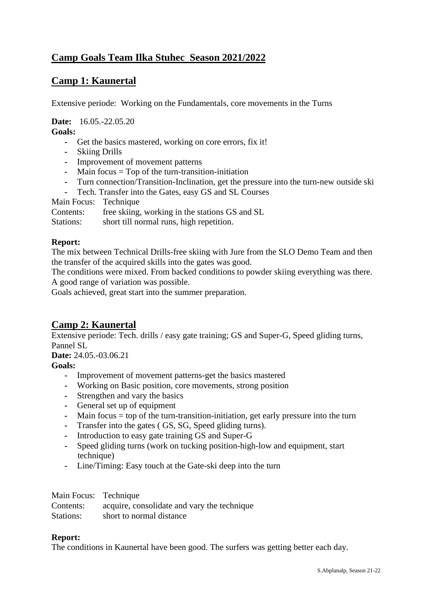# **Camp Goals Team Ilka Stuhec Season 2021/2022**

## **Camp 1: Kaunertal**

Extensive periode: Working on the Fundamentals, core movements in the Turns

**Date:** 16.05.-22.05.20

**Goals:**

- **-** Get the basics mastered, working on core errors, fix it!
- **-** Skiing Drills
- **-** Improvement of movement patterns
- **-** Main focus = Top of the turn-transition-initiation
- **-** Turn connection/Transition-Inclination, get the pressure into the turn-new outside ski
- **-** Tech. Transfer into the Gates, easy GS and SL Courses

Main Focus: Technique

Contents: free skiing, working in the stations GS and SL

Stations: short till normal runs, high repetition.

### **Report:**

The mix between Technical Drills-free skiing with Jure from the SLO Demo Team and then the transfer of the acquired skills into the gates was good.

The conditions were mixed. From backed conditions to powder skiing everything was there. A good range of variation was possible.

Goals achieved, great start into the summer preparation.

## **Camp 2: Kaunertal**

Extensive periode: Tech. drills / easy gate training; GS and Super-G, Speed gliding turns, Pannel SL

**Date:** 24.05.-03.06.21

## **Goals:**

- **-** Improvement of movement patterns-get the basics mastered
- **-** Working on Basic position, core movements, strong position
- **-** Strengthen and vary the basics
- **-** General set up of equipment
- **-** Main focus = top of the turn-transition-initiation, get early pressure into the turn
- **-** Transfer into the gates ( GS, SG, Speed gliding turns).
- **-** Introduction to easy gate training GS and Super-G
- **-** Speed gliding turns (work on tucking position-high-low and equipment, start technique)
- **-** Line/Timing: Easy touch at the Gate-ski deep into the turn

| Main Focus: Technique |                                             |
|-----------------------|---------------------------------------------|
| Contents:             | acquire, consolidate and vary the technique |
| Stations:             | short to normal distance                    |

### **Report:**

The conditions in Kaunertal have been good. The surfers was getting better each day.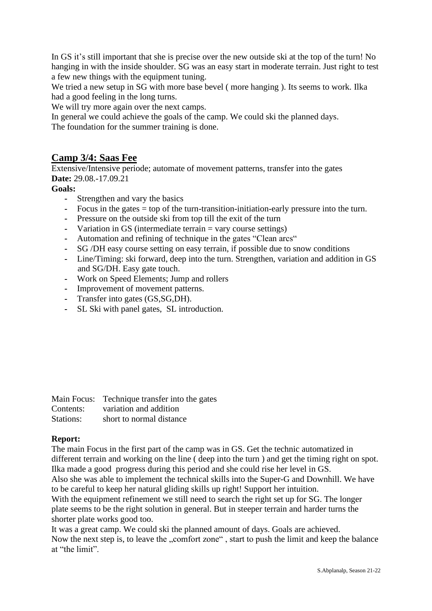In GS it's still important that she is precise over the new outside ski at the top of the turn! No hanging in with the inside shoulder. SG was an easy start in moderate terrain. Just right to test a few new things with the equipment tuning.

We tried a new setup in SG with more base bevel (more hanging). Its seems to work. Ilka had a good feeling in the long turns.

We will try more again over the next camps.

In general we could achieve the goals of the camp. We could ski the planned days.

The foundation for the summer training is done.

## **Camp 3/4: Saas Fee**

Extensive/Intensive periode; automate of movement patterns, transfer into the gates **Date:** 29.08.-17.09.21

## **Goals:**

- **-** Strengthen and vary the basics
- **-** Focus in the gates = top of the turn-transition-initiation-early pressure into the turn.
- **-** Pressure on the outside ski from top till the exit of the turn
- **-** Variation in GS (intermediate terrain = vary course settings)
- **-** Automation and refining of technique in the gates "Clean arcs"
- **-** SG /DH easy course setting on easy terrain, if possible due to snow conditions
- **-** Line/Timing: ski forward, deep into the turn. Strengthen, variation and addition in GS and SG/DH. Easy gate touch.
- **-** Work on Speed Elements; Jump and rollers
- **-** Improvement of movement patterns.
- **-** Transfer into gates (GS,SG,DH).
- **-** SL Ski with panel gates, SL introduction.

|           | Main Focus: Technique transfer into the gates |
|-----------|-----------------------------------------------|
| Contents: | variation and addition                        |
| Stations: | short to normal distance                      |

## **Report:**

The main Focus in the first part of the camp was in GS. Get the technic automatized in different terrain and working on the line ( deep into the turn ) and get the timing right on spot. Ilka made a good progress during this period and she could rise her level in GS.

Also she was able to implement the technical skills into the Super-G and Downhill. We have to be careful to keep her natural gliding skills up right! Support her intuition.

With the equipment refinement we still need to search the right set up for SG. The longer plate seems to be the right solution in general. But in steeper terrain and harder turns the shorter plate works good too.

It was a great camp. We could ski the planned amount of days. Goals are achieved. Now the next step is, to leave the "comfort zone", start to push the limit and keep the balance at "the limit".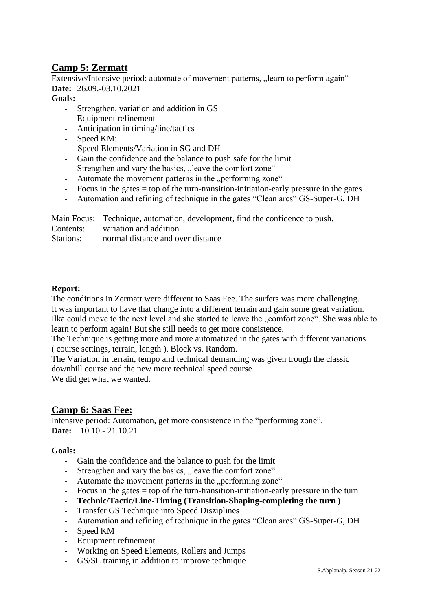## **Camp 5: Zermatt**

Extensive/Intensive period; automate of movement patterns, ... learn to perform again " **Date:** 26.09.-03.10.2021

### **Goals:**

- **-** Strengthen, variation and addition in GS
- **-** Equipment refinement
- **-** Anticipation in timing/line/tactics
- **-** Speed KM:
	- Speed Elements/Variation in SG and DH
- **-** Gain the confidence and the balance to push safe for the limit
- Strengthen and vary the basics, "leave the comfort zone"
- Automate the movement patterns in the "performing zone"
- **-** Focus in the gates = top of the turn-transition-initiation-early pressure in the gates
- **-** Automation and refining of technique in the gates "Clean arcs" GS-Super-G, DH

Main Focus: Technique, automation, development, find the confidence to push.

Contents: variation and addition

Stations: normal distance and over distance

### **Report:**

The conditions in Zermatt were different to Saas Fee. The surfers was more challenging. It was important to have that change into a different terrain and gain some great variation. Ilka could move to the next level and she started to leave the "comfort zone". She was able to learn to perform again! But she still needs to get more consistence.

The Technique is getting more and more automatized in the gates with different variations ( course settings, terrain, length ). Block vs. Random.

The Variation in terrain, tempo and technical demanding was given trough the classic downhill course and the new more technical speed course.

We did get what we wanted.

## **Camp 6: Saas Fee:**

Intensive period: Automation, get more consistence in the "performing zone". **Date:** 10.10.- 21.10.21

### **Goals:**

- **-** Gain the confidence and the balance to push for the limit
- Strengthen and vary the basics, "leave the comfort zone"
- Automate the movement patterns in the "performing zone"
- **-** Focus in the gates = top of the turn-transition-initiation-early pressure in the turn
- **- Technic/Tactic/Line-Timing (Transition-Shaping-completing the turn )**
- **-** Transfer GS Technique into Speed Disziplines
- **-** Automation and refining of technique in the gates "Clean arcs" GS-Super-G, DH
- **-** Speed KM
- **-** Equipment refinement
- **-** Working on Speed Elements, Rollers and Jumps
- **-** GS/SL training in addition to improve technique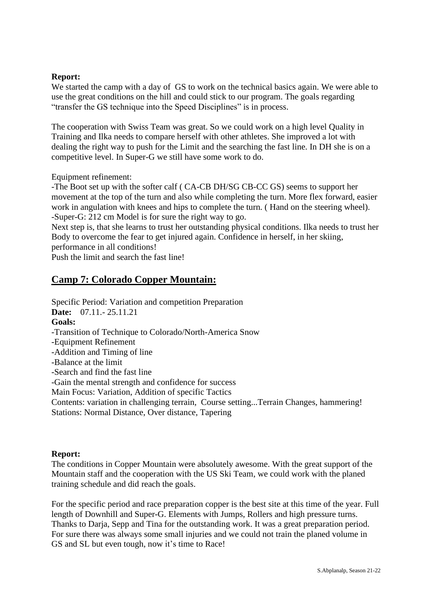### **Report:**

We started the camp with a day of GS to work on the technical basics again. We were able to use the great conditions on the hill and could stick to our program. The goals regarding "transfer the GS technique into the Speed Disciplines" is in process.

The cooperation with Swiss Team was great. So we could work on a high level Quality in Training and Ilka needs to compare herself with other athletes. She improved a lot with dealing the right way to push for the Limit and the searching the fast line. In DH she is on a competitive level. In Super-G we still have some work to do.

Equipment refinement:

-The Boot set up with the softer calf ( CA-CB DH/SG CB-CC GS) seems to support her movement at the top of the turn and also while completing the turn. More flex forward, easier work in angulation with knees and hips to complete the turn. ( Hand on the steering wheel). -Super-G: 212 cm Model is for sure the right way to go.

Next step is, that she learns to trust her outstanding physical conditions. Ilka needs to trust her Body to overcome the fear to get injured again. Confidence in herself, in her skiing, performance in all conditions!

Push the limit and search the fast line!

## **Camp 7: Colorado Copper Mountain:**

Specific Period: Variation and competition Preparation **Date:** 07.11.- 25.11.21 **Goals:** -Transition of Technique to Colorado/North-America Snow -Equipment Refinement -Addition and Timing of line -Balance at the limit -Search and find the fast line -Gain the mental strength and confidence for success Main Focus: Variation, Addition of specific Tactics Contents: variation in challenging terrain, Course setting...Terrain Changes, hammering!

Stations: Normal Distance, Over distance, Tapering

#### **Report:**

The conditions in Copper Mountain were absolutely awesome. With the great support of the Mountain staff and the cooperation with the US Ski Team, we could work with the planed training schedule and did reach the goals.

For the specific period and race preparation copper is the best site at this time of the year. Full length of Downhill and Super-G. Elements with Jumps, Rollers and high pressure turns. Thanks to Darja, Sepp and Tina for the outstanding work. It was a great preparation period. For sure there was always some small injuries and we could not train the planed volume in GS and SL but even tough, now it's time to Race!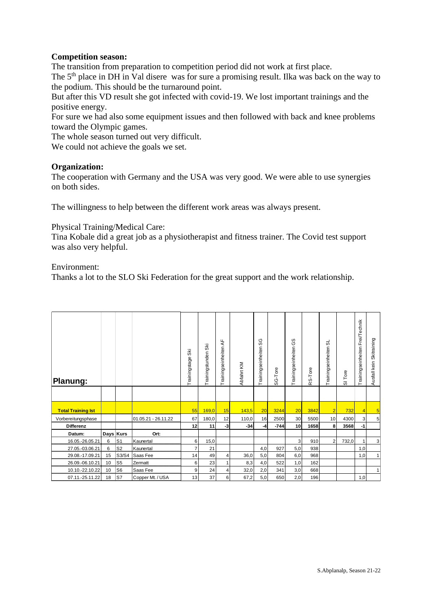### **Competition season:**

The transition from preparation to competition period did not work at first place.

The 5<sup>th</sup> place in DH in Val disere was for sure a promising result. Ilka was back on the way to the podium. This should be the turnaround point.

But after this VD result she got infected with covid-19. We lost important trainings and the positive energy.

For sure we had also some equipment issues and then followed with back and knee problems toward the Olympic games.

The whole season turned out very difficult.

We could not achieve the goals we set.

### **Organization:**

The cooperation with Germany and the USA was very good. We were able to use synergies on both sides.

The willingness to help between the different work areas was always present.

Physical Training/Medical Care:

Tina Kobale did a great job as a physiotherapist and fitness trainer. The Covid test support was also very helpful.

Environment:

Thanks a lot to the SLO Ski Federation for the great support and the work relationship.

| Planung:                  |    |           |                     | š<br>Trainingstage | SК<br>Trainingstunden | Щ<br>$\prec$<br>Trainingseinheiten | Abfahrt KM | SG<br>Trainingseinheiten | SG-Tore | ഗ<br>O<br>Trainingseinheiten | -Tore<br>Ò,<br>œ | ಪ<br>Trainingseinheiten | Tore<br>$\overline{\omega}$ | Trainingseinheiten Frei/Technik | Skitraining<br>Ausfall kein |
|---------------------------|----|-----------|---------------------|--------------------|-----------------------|------------------------------------|------------|--------------------------|---------|------------------------------|------------------|-------------------------|-----------------------------|---------------------------------|-----------------------------|
|                           |    |           |                     |                    |                       |                                    |            |                          |         |                              |                  |                         |                             |                                 |                             |
| <b>Total Training Ist</b> |    |           |                     | 55                 | 169,0                 | 15                                 | 143,5      | 20                       | 3244    | 20                           | 3842             | $\overline{2}$          | 732                         |                                 | 5                           |
| Vorbereitungsphase        |    |           | 01.05.21 - 26.11.22 | 67                 | 180,0                 | 12                                 | 110,0      | 16                       | 2500    | 30 <sup>1</sup>              | 5500             | 10                      | 4300                        | 3                               | 5                           |
| <b>Differenz</b>          |    |           |                     | 12                 | 11                    | $-3$                               | $-34$      | -4                       | $-744$  | 10 <sup>1</sup>              | 1658             | 8                       | 3568                        | -1                              |                             |
| Datum:                    |    | Days Kurs | Ort:                |                    |                       |                                    |            |                          |         |                              |                  |                         |                             |                                 |                             |
| 16.05.-26.05.21           | 6  | IS1       | Kaunertal           | 6                  | 15,0                  |                                    |            |                          |         | 3                            | 910              | $\overline{2}$          | 732,0                       |                                 | 3                           |
| 27.05.-03.06.21           | 6  | S2        | Kaunertal           | 7                  | 21                    |                                    |            | 4,0                      | 927     | 5,0                          | 938              |                         |                             | 1,0                             |                             |
| 29.08.-17.09.21           | 15 | S3/S4     | Saas Fee            | 14                 | 49                    | 4                                  | 36,0       | 5,0                      | 804     | 6,0                          | 968              |                         |                             | 1,0                             | 11                          |
| 26.09.-06.10.21           | 10 | S5        | Zermatt             | 6                  | 23                    | 1                                  | 8,3        | 4,0                      | 522     | 1,0                          | 162              |                         |                             |                                 |                             |
| 10.10.-22.10.22           | 10 | S6        | Saas Fee            | 9                  | 24                    | 4                                  | 32,0       | 2,0                      | 341     | 3,0                          | 668              |                         |                             |                                 | 11                          |
| 07.11.-25.11.22           | 18 | IS7       | Copper Mt. / USA    | 13                 | 37                    | 6                                  | 67,2       | 5,0                      | 650     | 2,0                          | 196              |                         |                             | 1,0                             |                             |